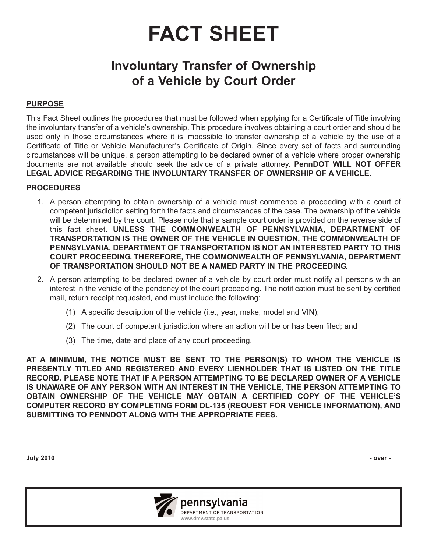# **FACT SHEET**

## **Involuntary Transfer of Ownership of a Vehicle by Court Order**

#### **PURPOSE**

This Fact Sheet outlines the procedures that must be followed when applying for a Certificate of Title involving the involuntary transfer of a vehicle's ownership. This procedure involves obtaining a court order and should be used only in those circumstances where it is impossible to transfer ownership of a vehicle by the use of a Certificate of Title or Vehicle Manufacturer's Certificate of Origin. Since every set of facts and surrounding circumstances will be unique, a person attempting to be declared owner of a vehicle where proper ownership documents are not available should seek the advice of a private attorney. **PennDOT WILL NOT OFFER LEGAL ADVICE REGARDING THE INVOLUNTARY TRANSFER OF OWNERSHIP OF A VEHICLE.**

#### **PROCEDURES**

- 1. A person attempting to obtain ownership of a vehicle must commence a proceeding with a court of competent jurisdiction setting forth the facts and circumstances of the case. The ownership of the vehicle will be determined by the court. Please note that a sample court order is provided on the reverse side of this fact sheet. **UNLESS THE COMMONWEALTH OF PENNSYLVANIA, DEPARTMENT OF TRANSPORTATION IS THE OWNER OF THE VEHICLE IN QUESTION, THE COMMONWEALTH OF PENNSYLVANIA, DEPARTMENT OF TRANSPORTATION IS NOT AN INTERESTED PARTY TO THIS COURT PROCEEDING. THEREFORE, THE COMMONWEALTH OF PENNSYLVANIA, DEPARTMENT OF TRANSPORTATION SHOULD NOT BE A NAMED PARTY IN THE PROCEEDING.**
- 2. A person attempting to be declared owner of a vehicle by court order must notify all persons with an interest in the vehicle of the pendency of the court proceeding. The notification must be sent by certified mail, return receipt requested, and must include the following:
	- (1) A specific description of the vehicle (i.e., year, make, model and VIN);
	- (2) The court of competent jurisdiction where an action will be or has been filed; and
	- (3) The time, date and place of any court proceeding.

**AT A MINIMUM, THE NOTICE MUST BE SENT TO THE PERSON(S) TO WHOM THE VEHICLE IS PRESENTLY TITLED AND REGISTERED AND EVERY LIENHOLDER THAT IS LISTED ON THE TITLE RECORD. PLEASE NOTE THAT IF A PERSON ATTEMPTING TO BE DECLARED OWNER OF A VEHICLE IS UNAWARE OF ANY PERSON WITH AN INTEREST IN THE VEHICLE, THE PERSON ATTEMPTING TO OBTAIN OWNERSHIP OF THE VEHICLE MAY OBTAIN A CERTIFIED COPY OF THE VEHICLE'S COMPUTER RECORD BY COMPLETING FORM DL-135 (REQUEST FOR VEHICLE INFORMATION), AND SUBMITTING TO PENNDOT ALONG WITH THE APPROPRIATE FEES.**

**July 2010 - over -**